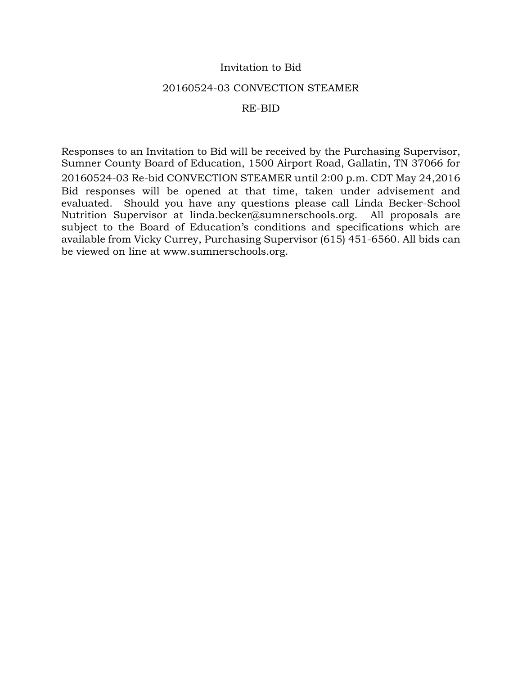## Invitation to Bid

### 20160524-03 CONVECTION STEAMER

## RE-BID

Responses to an Invitation to Bid will be received by the Purchasing Supervisor, Sumner County Board of Education, 1500 Airport Road, Gallatin, TN 37066 for 20160524-03 Re-bid CONVECTION STEAMER until 2:00 p.m. CDT May 24,2016 Bid responses will be opened at that time, taken under advisement and evaluated. Should you have any questions please call Linda Becker-School Nutrition Supervisor at linda.becker@sumnerschools.org. All proposals are subject to the Board of Education's conditions and specifications which are available from Vicky Currey, Purchasing Supervisor (615) 451-6560. All bids can be viewed on line at www.sumnerschools.org.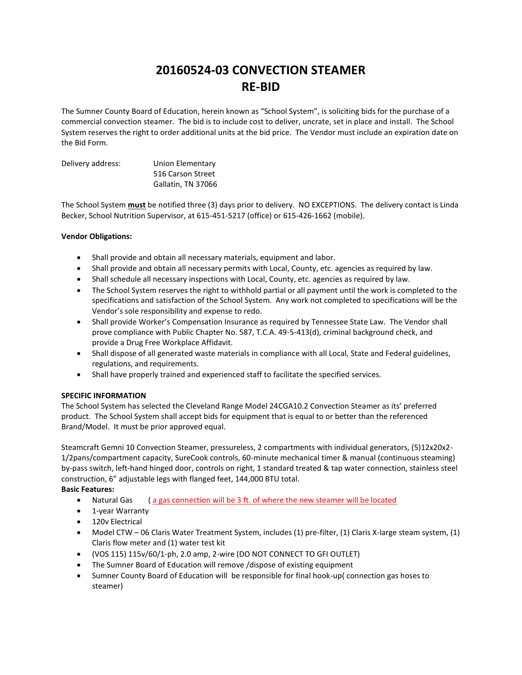# **20160524-03 CONVECTION STEAMER RE-BID**

The Sumner County Board of Education, herein known as "School System", is soliciting bids for the purchase of a commercial convection steamer. The bid is to include cost to deliver, uncrate, set in place and install. The School System reserves the right to order additional units at the bid price. The Vendor must include an expiration date on the Bid Form.

| Delivery address: | Union Elementary   |
|-------------------|--------------------|
|                   | 516 Carson Street  |
|                   | Gallatin, TN 37066 |

The School System **must** be notified three (3) days prior to delivery. NO EXCEPTIONS. The delivery contact is Linda Becker, School Nutrition Supervisor, at 615-451-5217 (office) or 615-426-1662 (mobile).

#### **Vendor Obligations:**

- Shall provide and obtain all necessary materials, equipment and labor.
- Shall provide and obtain all necessary permits with Local, County, etc. agencies as required by law.
- Shall schedule all necessary inspections with Local, County, etc. agencies as required by law.
- The School System reserves the right to withhold partial or all payment until the work is completed to the specifications and satisfaction of the School System. Any work not completed to specifications will be the Vendor's sole responsibility and expense to redo.
- Shall provide Worker's Compensation Insurance as required by Tennessee State Law. The Vendor shall prove compliance with Public Chapter No. 587, T.C.A. 49-5-413(d), criminal background check, and provide a Drug Free Workplace Affidavit.
- Shall dispose of all generated waste materials in compliance with all Local, State and Federal guidelines, regulations, and requirements.
- Shall have properly trained and experienced staff to facilitate the specified services.

#### **SPECIFIC INFORMATION**

The School System has selected the Cleveland Range Model 24CGA10.2 Convection Steamer as its' preferred product. The School System shall accept bids for equipment that is equal to or better than the referenced Brand/Model. It must be prior approved equal.

Steamcraft Gemni 10 Convection Steamer, pressureless, 2 compartments with individual generators, (5)12x20x2- 1/2pans/compartment capacity, SureCook controls, 60-minute mechanical timer & manual (continuous steaming) by-pass switch, left-hand hinged door, controls on right, 1 standard treated & tap water connection, stainless steel construction, 6" adjustable legs with flanged feet, 144,000 BTU total.

#### **Basic Features:**

- Natural Gas (a gas connection will be 3 ft. of where the new steamer will be located
- 1-year Warranty
- 120v Electrical
- Model CTW 06 Claris Water Treatment System, includes (1) pre-filter, (1) Claris X-large steam system, (1) Claris flow meter and (1) water test kit
- (VOS 115) 115v/60/1-ph, 2.0 amp, 2-wire (DO NOT CONNECT TO GFI OUTLET)
- The Sumner Board of Education will remove /dispose of existing equipment
- Sumner County Board of Education will be responsible for final hook-up( connection gas hoses to steamer)